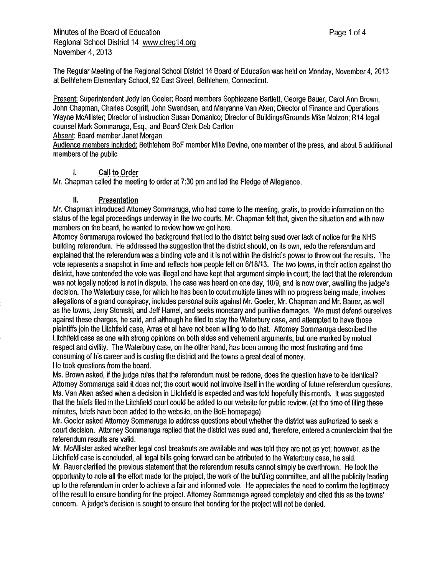The Regular Meeting of the Regional School District 14 Board of Education was held on Monday, November 4, 2013 at Bethlehem Elementary School, 92 East Street, Bethlehem, Connecticut.

Present: Superintendent Jody Ian Goeler; Board members Sophiezane Bartlett, George Bauer, Carol Ann Brown, John Chapman, Charles Cosgriff, John Swendsen, and Maryanne Van Aken; Director of Finance and Operations Wayne McAllister; Director of Instruction Susan Domanico; Director of Buildings/Grounds Mike Molzon; R14 legal counsel Mark Sommaruga, Esq., and Board Clerk Deb Carlton

#### Absent: Board member Janet Morgan

Audience members included: Bethlehem BoF member Mike Devine, one member of the press, and about 6 additional members of the public

#### I. **Call to Order**

Mr. Chapman called the meeting to order at 7:30 pm and led the Pledge of Allegiance.

#### II. **Presentation**

Mr. Chapman introduced Attorney Sommaruga, who had come to the meeting, gratis, to provide information on the status of the legal proceedings underway in the two courts. Mr. Chapman felt that, given the situation and with new members on the board, he wanted to review how we got here.

Attorney Sommaruga reviewed the background that led to the district being sued over lack of notice for the NHS building referendum. He addressed the suggestion that the district should, on its own, redo the referendum and explained that the referendum was abinding vote and it is not within the district's power to throw out the results. The vote represents asnapshot in time and reflects how people felt on 6/18/13. The two towns, in their action against the district, have contended the vote was illegal and have kept that argument simple in court; the fact that the referendum was not legally noticed is not in dispute. The case was heard on one day, 10/9, and is now over, awaiting the judge's decision. The Waterbury case, for which he has been to court multiple times with no progress being made, involves allegations of agrand conspiracy, includes personal suits against Mr. Goeler, Mr. Chapman and Mr. Bauer, as well as the towns, Jerry Slomski, and Jeff Hamel, and seeks monetary and punitive damages. We must defend ourselves against these charges, he said, and although he filed to stay the Waterbury case, and attempted to have those plaintiffs join the Litchfield case, Arras et al have not been willing to do that. Attorney Sommaruga described the Litchfield case as one with strong opinions on both sides and vehement arguments, but one marked by mutual respect and civility. The Waterbury case, on the other hand, has been among the most frustrating and time consuming of his career and is costing the district and the towns agreat deal of money. He took questions from the board.

Ms. Brown asked, if the judge rules that the referendum must be redone, does the question have to be identical? Attorney Sommaruga said it does not; the court would not involve itself in the wording of future referendum questions. Ms. Van Aken asked when adecision in Litchfield is expected and was told hopefully this month. It was suggested that the briefs filed in the Litchfield court could be added to our website for public review. (at the time of filing these minutes, briefs have been added to the website, on the BoE homepage)

Mr. Goeler asked Attorney Sommaruga to address questions about whether the district was authorized to seek a court decision. Attorney Sommaruga replied that the district was sued and, therefore, entered a counterclaim that the referendum results are valid.

Mr. McAllister asked whether legal cost breakouts are available and was told they are not as yet; however, as the Litchfield case is concluded, all legal bills going forward can be attributed to the Waterbury case, he said.

Mr. Bauer clarified the previous statement that the referendum results cannot simply be overthrown. He took the opportunity to note all the effort made for the project, the work of the building committee, and all the publicity leading up to the referendum in order to achieve a fair and informed vote. He appreciates the need to confirm the legitimacy of the result to ensure bonding for the project. Attorney Sommaruga agreed completely and cited this as the towns' concern. A judge's decision is sought to ensure that bonding for the project will not be denied.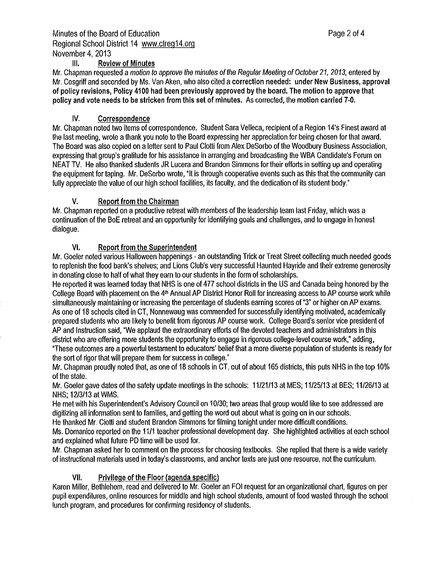### Ill. **Review of Minutes**

Mr. Chapman requested a motion to approve the minutes of the Regular Meeting of October 21, 2013, entered by Mr. Cosgriff and seconded by Ms. Van Aken, who also cited a **correction needed:** under **New Business, approval of policy revisions, Policy 4100 had been previously approved by the board. The motion to approve that policy and vote needs to be stricken from this set of minutes.** As corrected, the **motion carried 7-0.** 

### **IV. Correspondence**

Mr. Chapman noted two items of correspondence. Student Sara Velleca, recipient of a Region 14's Finest award at the last meeting, wrote athank you note to the Board expressing her appreciation for being chosen for that award. The Board was also copied on aletter sent to Paul Ciotti from Alex Desorbo of the Woodbury Business Association, expressing that group's gratitude for his assistance in arranging and broadcasting the WBA Candidate's Forum on NEAT *TV.* He also thanked students JR Lucera and Brandon Simmons for their efforts in setting up and operating the equipment for taping. Mr. Desorbo wrote, "It is through cooperative events such as this that the community can fully appreciate the value of our high school facilities, its faculty, and the dedication of its student body."

### **V. Report from the Chairman**

Mr. Chapman reported on a productive retreat with members of the leadership team last Friday, which was a continuation of the BoE retreat and an opportunity for identifying goals and challenges, and to engage in honest dialogue.

### **VI. Report from the Superintendent**

Mr. Goeler noted various Halloween happenings - an outstanding Trick or Treat Street collecting much needed goods to replenish the food bank's shelves; and Lions Club's very successful Haunted Hayride and their extreme generosity in donating close to half of what they earn to our students in the form of scholarships.

He reported it was learned today that NHS is one of 477 school districts in the US and Canada being honored by the College Board with placement on the 4<sup>th</sup> Annual AP District Honor Roll for increasing access to AP course work while simultaneously maintaining or increasing the percentage of students earning scores of "3" or higher on AP exams. As one of 18 schools cited in CT, Nonnewaug was commended for successfully identifying motivated, academically prepared students who are likely to benefit from rigorous AP course work. College Board's senior vice president of AP and Instruction said, "We applaud the extraordinary efforts of the devoted teachers and administrators in this district who are offering more students the opportunity to engage in rigorous college-level course work," adding,

"These outcomes are apowerful testament to educators' belief that amore diverse population of students is ready for the sort of rigor that will prepare them for success in college."

Mr. Chapman proudly noted that, as one of 18 schools in CT, out of about 165 districts, this puts NHS in the top 10% of the state.

Mr. Goeler gave dates of the safety update meetings in the schools: 11/21/13 at MES; 11/25/13 at BES; 11/26/13 at NHS; 12/3/13 at WMS.

He met with his Superintendent's Advisory Council on 10/30; two areas that group would like to see addressed are digitizing all information sent to families, and getting the word out about what is going on in our schools.

He thanked Mr. Ciotti and student Brandon Simmons for filming tonight under more difficult conditions.

Ms. Domanico reported on the 11/1 teacher professional development day. She highlighted activities at each school and explained what future PD time will be used for.

Mr. Chapman asked her to comment on the process for choosing textbooks. She replied that there is awide variety of instructional materials used in today's classrooms, and anchor texts are just one resource, not the curriculum.

### **VII. Privilege of the Floor (agenda specific)**

Karen Miller, Bethlehem, read and delivered to Mr. Goeler an FOi request for an organizational chart, figures on per pupil expenditures, online resources for middle and high school students, amount of food wasted through the school lunch program, and procedures for confirming residency of students.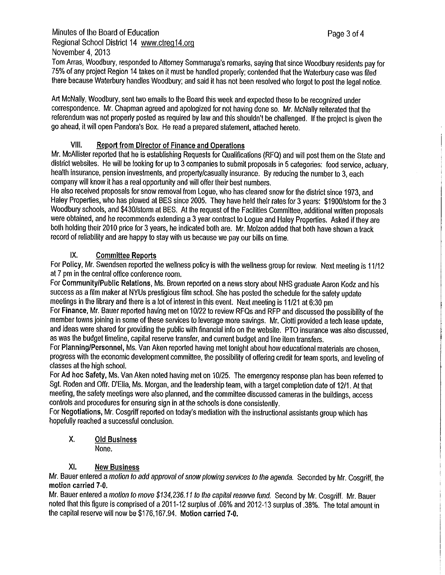# Minutes of the Board of Education **Page 3of 4** Regional School District 14 <www.ctreg14.org> November 4, 2013

Tom Arras, Woodbury, responded to Attorney Sommaruga's remarks, saying that since Woodbury residents pay for 75% of any project Region 14 takes on it must be handled properly; contended that the Waterbury case was filed there because Waterbury handles Woodbury; and said it has not been resolved who forgot to post the legal notice.

Art McNally, Woodbury, sent two emails to the Board this week and expected these to be recognized under correspondence. Mr. Chapman agreed and apologized for not having done so. Mr. McNally reiterated that the referendum was not properly posted as required by law and this shouldn't be challenged. If the project is given the go ahead, it will open Pandora's Box. He read aprepared statement, attached hereto.

## **VIII. Report from Director of Finance and Operations**

Mr. McAllister reported that he is establishing Requests for Qualifications (RFQ) and will post them on the State and district websites. He will be looking for up to 3companies to submit proposals in 5categories: food service, actuary, health insurance, pension investments, and property/casualty insurance. By reducing the number to 3, each company will know it has areal opportunity and will offer their best numbers.

He also received proposals for snow removal from Logue, who has cleared snow for the district since 1973, and Haley Properties, who has plowed at BES since 2005. They have held their rates for 3years: \$1900/storm for the 3 Woodbury schools, and \$430/storm at BES. At the request of the Facilities Committee, additional written proposals were obtained, and he recommends extending a 3 year contract to Logue and Haley Properties. Asked if they are both holding their 2010 price for 3 years, he indicated both are. **Mr.** Molzon added that both have shown a track record of reliability and are happy to stay with us because we pay our bills on time.

## **IX. Committee Reports**

For Policy, Mr. Swendsen reported the wellness policy is with the wellness group for review. Next meeting is 11112 at 7 pm in the central office conference room.

For Community/Public Relations, Ms. Brown reported on anews story about NHS graduate Aaron Kodz and his success as a film maker at NYUs prestigious film school. She has posted the schedule for the safety update meetings in the library and there is alot of interest in this event. Next meeting is 11/21 at 6:30 pm

For **Finance,** Mr. Bauer reported having met on 10/22 to review RFQs and RFP and discussed the possibility of the member towns joining in some of these services to leverage more savings. Mr. Ciotti provided a tech lease update, and ideas were shared for providing the public with financial info on the website. PTO insurance was also discussed, as was the budget timeline, capital reserve transfer, and current budget and line item transfers.

For **Planning/Personnel,** Ms. Van Aken reported having met tonight about how educational materials are chosen, progress with the economic development committee, the possibility of offering credit for team sports, and leveling of classes at the high school.

For **Ad** hoc **Safety,** Ms. Van Aken noted having met on 10125. The emergency response plan has been referred to Sgt. Roden and Offr. D'Elia, Ms. Morgan, and the leadership team, with a target completion date of 12/1. At that meeting, the safety meetings were also planned, and the committee discussed cameras in the buildings, access controls and procedures for ensuring sign in at the schools is done consistently.

For **Negotiations,** Mr. Cosgriff reported on today's mediation with the instructional assistants group which has hopefully reached a successful conclusion.

#### **X.** Old Business None.

### XI. New Business

Mr. Bauer entered a motion to add approval of snow plowing services to the agenda. Seconded by Mr. Cosgriff, the motion carried 7-0.

Mr. Bauer entered a motion to move [\\$134,236.11](https://134,236.11) to the capital reserve fund. Second by Mr. Cosgriff. Mr. Bauer noted that this figure is comprised of a 2011-12 surplus of .06% and 2012-13 surplus of .38%. The total amount in the capital reserve will now be \$176, 167.94. Motion carried 7-0.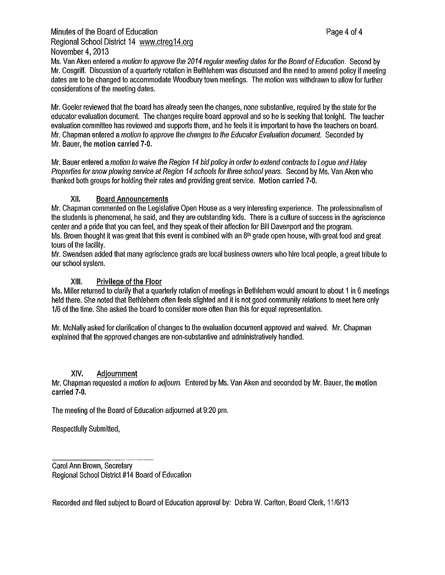## Minutes of the Board of Education **Page 4of 4** Regional School District 14 <www.ctreg14.org> November 4, 2013

Ms. Van Aken entered amotion to approve the 2014 regular meeting dates for the Board of Education. Second by Mr. Cosgriff. Discussion of aquarterly rotation in Bethlehem was discussed and the need to amend policy if meeting dates are to be changed to accommodate Woodbury town meetings. The motion was withdrawn to allow for further considerations of the meeting dates.

Mr. Goeler reviewed that the board has already seen the changes, none substantive, required by the state for the educator evaluation document. The changes require board approval and so he is seeking that tonight. The teacher evaluation committee has reviewed and supports them, and he feels it is important to have the teachers on board. Mr. Chapman entered amotion to approve the changes to the Educator Evaluation document. Seconded by Mr. Bauer, the motion carried 7-0.

Mr. Bauer entered amotion to waive the Region 14 bid policy in order to extend contracts to Logue and Haley Properlies for snow plowing service at Region 14 schools for three school years. Second by Ms. Van Aken who thanked both groups for holding their rates and providing great service. Motion carried 7-0.

### XII. Board Announcements

Mr. Chapman commented on the Legislative Open House as avery interesting experience. The professionalism of the students is phenomenal, he said, and they are outstanding kids. There is aculture of success in the agriscience center and apride that you can feel, and they speak of their affection for Bill Davenport and the program. Ms. Brown thought it was great that this event is combined with an  $8<sup>th</sup>$  grade open house, with great food and great tours of the facility.

Mr. Swendsen added that many agriscience grads are local business owners who hire local people, agreat tribute to our school system.

## XIII. Privilege of the Floor

Ms. Miller returned to clarify that a quarterly rotation of meetings in Bethlehem would amount to about 1 in 6 meetings held there. She noted that Bethlehem often feels slighted and it is not good community relations to meet here only 1/6 of the time. She asked the board to consider more often than this for equal representation.

Mr. McNally asked for clarification of changes to the evaluation document approved and waived. Mr. Chapman explained that the approved changes are non-substantive and administratively handled.

### **XIV.** Adjournment

Mr. Chapman requested a motion to adjourn. Entered by Ms. Van Aken and seconded by Mr. Bauer, the motion **carried 7-0.** 

The meeting of the Board of Education adjourned at 9:20 pm.

Respectfully Submitted,

Carol Ann Brown, Secretary Regional School District #14 Board of Education

Recorded and filed subject to Board of Education approval by: Debra W. Carlton, Board Clerk, 11/6/13